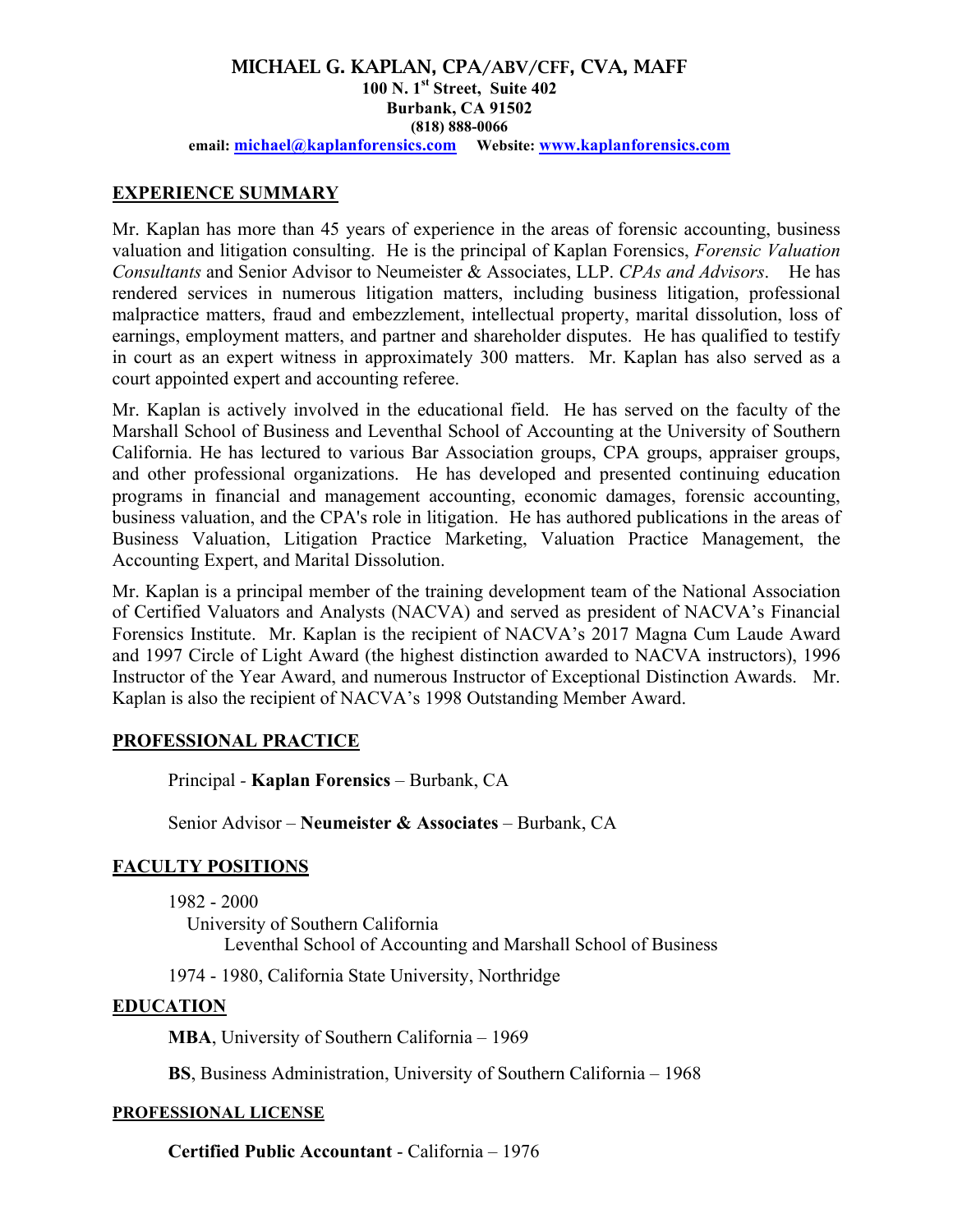#### MICHAEL G. KAPLAN, CPA/ABV/CFF, CVA, MAFF **100 N. 1st Street, Suite 402 Burbank, CA 91502 (818) 888-0066 email: michael@kaplanforensics.com Website: www.kaplanforensics.com**

# **EXPERIENCE SUMMARY**

Mr. Kaplan has more than 45 years of experience in the areas of forensic accounting, business valuation and litigation consulting. He is the principal of Kaplan Forensics, *Forensic Valuation Consultants* and Senior Advisor to Neumeister & Associates, LLP. *CPAs and Advisors*. He has rendered services in numerous litigation matters, including business litigation, professional malpractice matters, fraud and embezzlement, intellectual property, marital dissolution, loss of earnings, employment matters, and partner and shareholder disputes. He has qualified to testify in court as an expert witness in approximately 300 matters. Mr. Kaplan has also served as a court appointed expert and accounting referee.

Mr. Kaplan is actively involved in the educational field. He has served on the faculty of the Marshall School of Business and Leventhal School of Accounting at the University of Southern California. He has lectured to various Bar Association groups, CPA groups, appraiser groups, and other professional organizations. He has developed and presented continuing education programs in financial and management accounting, economic damages, forensic accounting, business valuation, and the CPA's role in litigation. He has authored publications in the areas of Business Valuation, Litigation Practice Marketing, Valuation Practice Management, the Accounting Expert, and Marital Dissolution.

Mr. Kaplan is a principal member of the training development team of the National Association of Certified Valuators and Analysts (NACVA) and served as president of NACVA's Financial Forensics Institute. Mr. Kaplan is the recipient of NACVA's 2017 Magna Cum Laude Award and 1997 Circle of Light Award (the highest distinction awarded to NACVA instructors), 1996 Instructor of the Year Award, and numerous Instructor of Exceptional Distinction Awards. Mr. Kaplan is also the recipient of NACVA's 1998 Outstanding Member Award.

## **PROFESSIONAL PRACTICE**

Principal *-* **Kaplan Forensics** – Burbank, CA

Senior Advisor – **Neumeister & Associates** – Burbank, CA

# **FACULTY POSITIONS**

1982 - 2000

 University of Southern California Leventhal School of Accounting and Marshall School of Business

1974 - 1980, California State University, Northridge

## **EDUCATION**

**MBA**, University of Southern California – 1969

**BS**, Business Administration, University of Southern California – 1968

## **PROFESSIONAL LICENSE**

**Certified Public Accountant** - California – 1976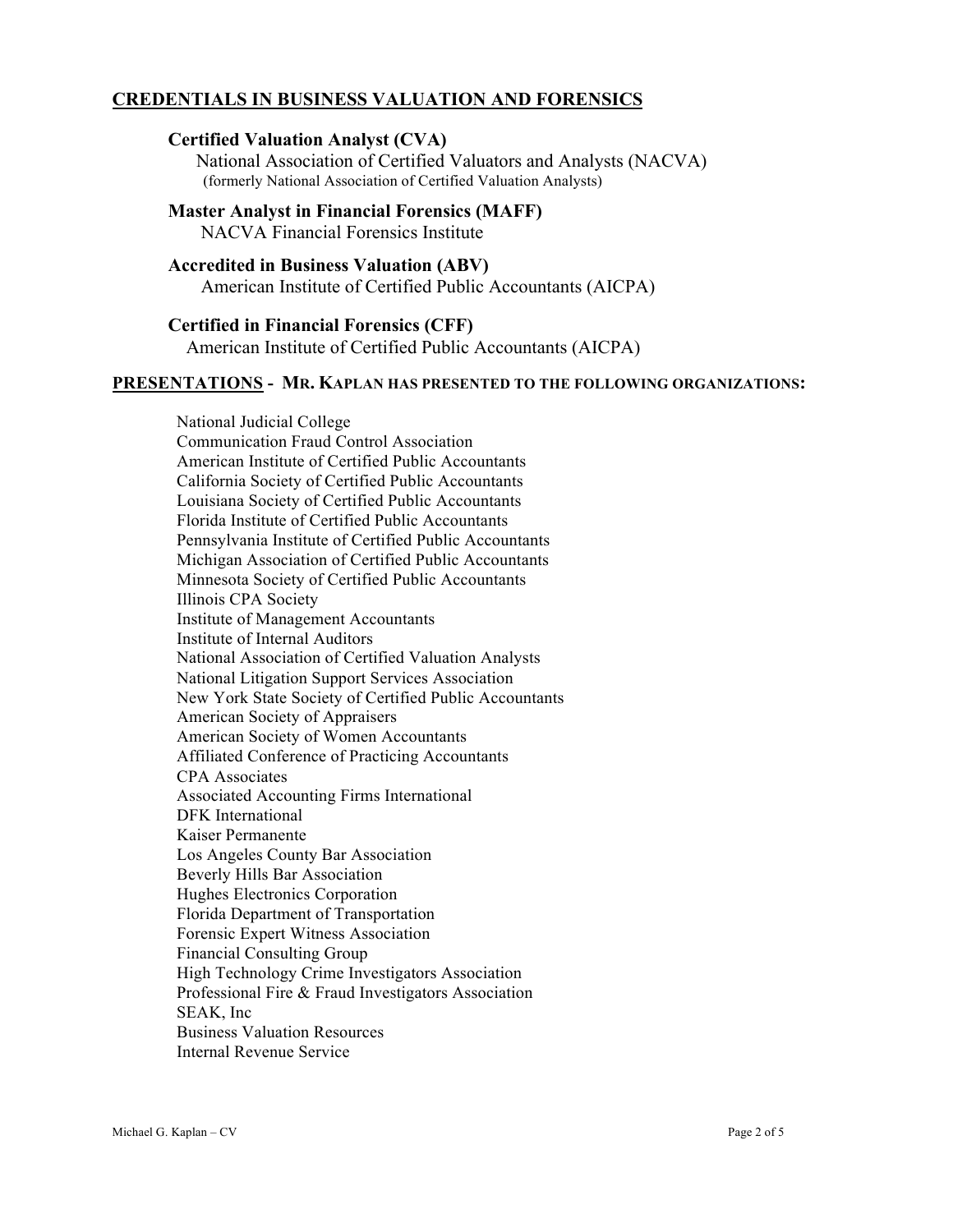# **CREDENTIALS IN BUSINESS VALUATION AND FORENSICS**

#### **Certified Valuation Analyst (CVA)**

 National Association of Certified Valuators and Analysts (NACVA) (formerly National Association of Certified Valuation Analysts)

# **Master Analyst in Financial Forensics (MAFF)**

NACVA Financial Forensics Institute

# **Accredited in Business Valuation (ABV)**

American Institute of Certified Public Accountants (AICPA)

## **Certified in Financial Forensics (CFF)**

American Institute of Certified Public Accountants (AICPA)

#### **PRESENTATIONS - MR. KAPLAN HAS PRESENTED TO THE FOLLOWING ORGANIZATIONS:**

 National Judicial College Communication Fraud Control Association American Institute of Certified Public Accountants California Society of Certified Public Accountants Louisiana Society of Certified Public Accountants Florida Institute of Certified Public Accountants Pennsylvania Institute of Certified Public Accountants Michigan Association of Certified Public Accountants Minnesota Society of Certified Public Accountants Illinois CPA Society Institute of Management Accountants Institute of Internal Auditors National Association of Certified Valuation Analysts National Litigation Support Services Association New York State Society of Certified Public Accountants American Society of Appraisers American Society of Women Accountants Affiliated Conference of Practicing Accountants CPA Associates Associated Accounting Firms International DFK International Kaiser Permanente Los Angeles County Bar Association Beverly Hills Bar Association Hughes Electronics Corporation Florida Department of Transportation Forensic Expert Witness Association Financial Consulting Group High Technology Crime Investigators Association Professional Fire & Fraud Investigators Association SEAK, Inc Business Valuation Resources Internal Revenue Service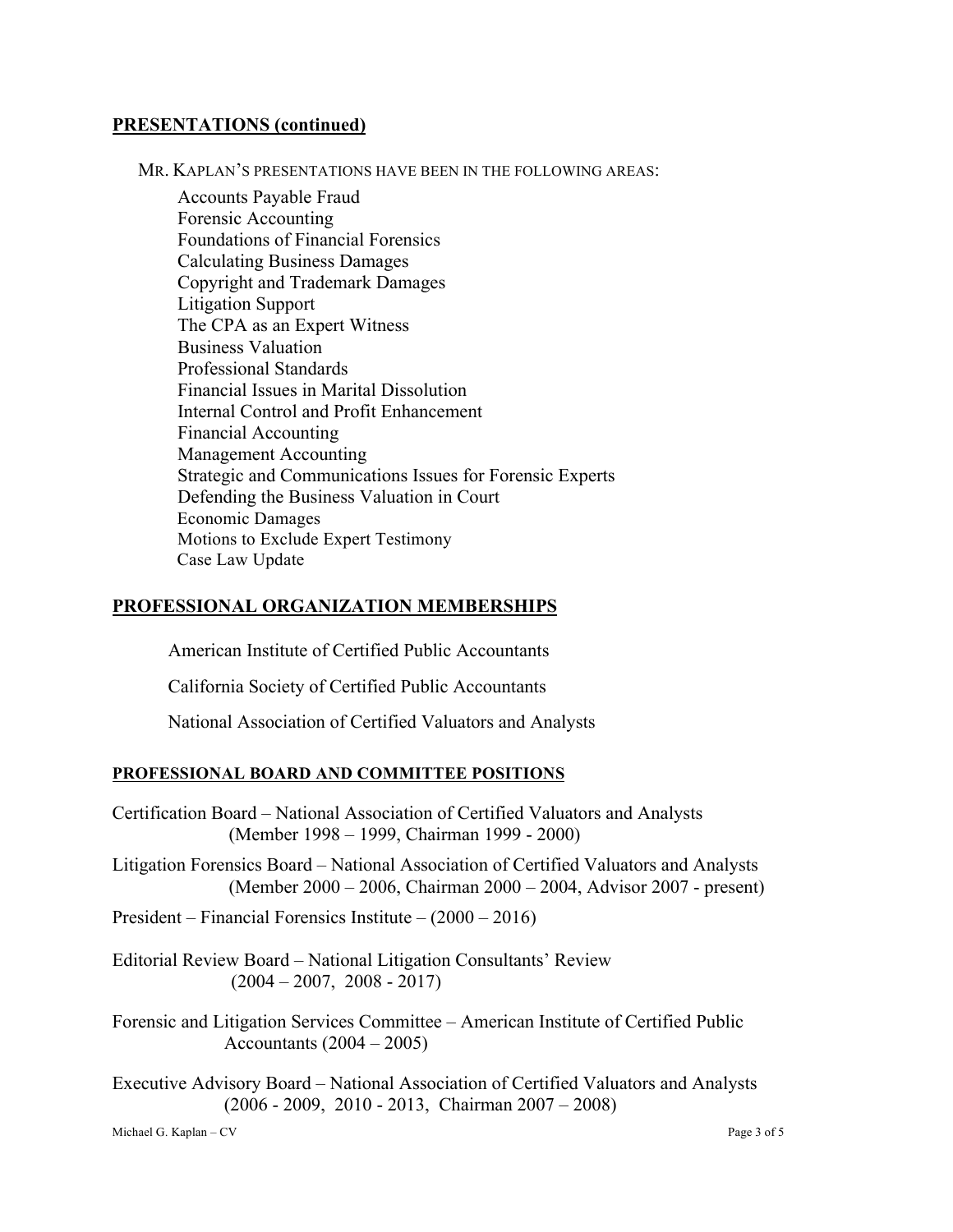#### **PRESENTATIONS (continued)**

MR. KAPLAN'S PRESENTATIONS HAVE BEEN IN THE FOLLOWING AREAS:

 Accounts Payable Fraud Forensic Accounting Foundations of Financial Forensics Calculating Business Damages Copyright and Trademark Damages Litigation Support The CPA as an Expert Witness Business Valuation Professional Standards Financial Issues in Marital Dissolution Internal Control and Profit Enhancement Financial Accounting Management Accounting Strategic and Communications Issues for Forensic Experts Defending the Business Valuation in Court Economic Damages Motions to Exclude Expert Testimony Case Law Update

#### **PROFESSIONAL ORGANIZATION MEMBERSHIPS**

American Institute of Certified Public Accountants

California Society of Certified Public Accountants

National Association of Certified Valuators and Analysts

#### **PROFESSIONAL BOARD AND COMMITTEE POSITIONS**

- Certification Board National Association of Certified Valuators and Analysts (Member 1998 – 1999, Chairman 1999 - 2000)
- Litigation Forensics Board National Association of Certified Valuators and Analysts (Member 2000 – 2006, Chairman 2000 – 2004, Advisor 2007 - present)

President – Financial Forensics Institute – (2000 – 2016)

Editorial Review Board – National Litigation Consultants' Review  $(2004 - 2007, 2008 - 2017)$ 

Forensic and Litigation Services Committee – American Institute of Certified Public Accountants (2004 – 2005)

Executive Advisory Board – National Association of Certified Valuators and Analysts (2006 - 2009, 2010 - 2013, Chairman 2007 – 2008)

Michael G. Kaplan – CV Page 3 of 5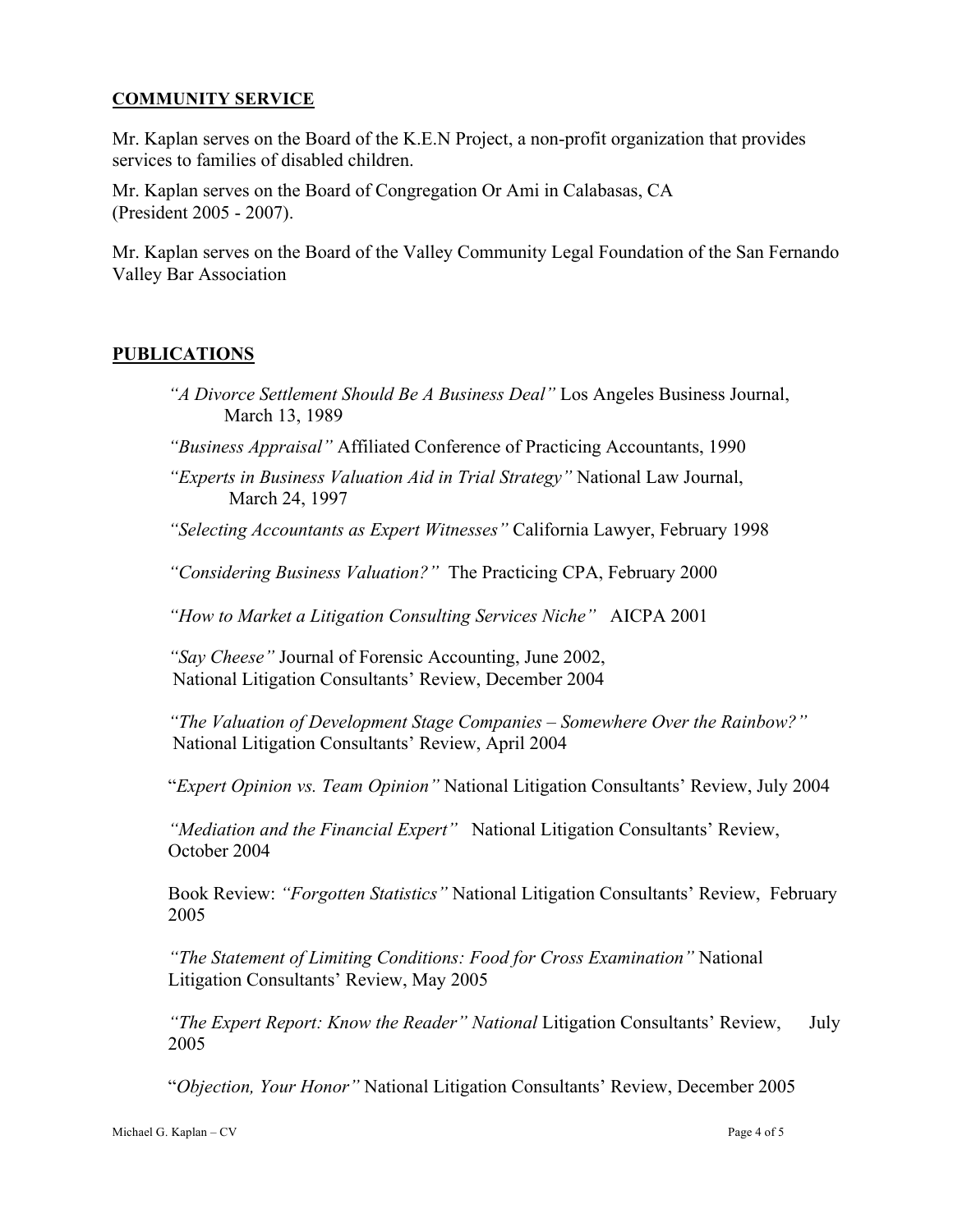#### **COMMUNITY SERVICE**

Mr. Kaplan serves on the Board of the K.E.N Project, a non-profit organization that provides services to families of disabled children.

Mr. Kaplan serves on the Board of Congregation Or Ami in Calabasas, CA (President 2005 - 2007).

Mr. Kaplan serves on the Board of the Valley Community Legal Foundation of the San Fernando Valley Bar Association

## **PUBLICATIONS**

- *"A Divorce Settlement Should Be A Business Deal"* Los Angeles Business Journal, March 13, 1989
- *"Business Appraisal"* Affiliated Conference of Practicing Accountants, 1990

*"Experts in Business Valuation Aid in Trial Strategy"* National Law Journal, March 24, 1997

*"Selecting Accountants as Expert Witnesses"* California Lawyer, February 1998

*"Considering Business Valuation?"* The Practicing CPA, February 2000

*"How to Market a Litigation Consulting Services Niche"* AICPA 2001

*"Say Cheese"* Journal of Forensic Accounting, June 2002, National Litigation Consultants' Review, December 2004

*"The Valuation of Development Stage Companies – Somewhere Over the Rainbow?"* National Litigation Consultants' Review, April 2004

"*Expert Opinion vs. Team Opinion"* National Litigation Consultants' Review, July 2004

*"Mediation and the Financial Expert"* National Litigation Consultants' Review, October 2004

Book Review: *"Forgotten Statistics"* National Litigation Consultants' Review, February 2005

*"The Statement of Limiting Conditions: Food for Cross Examination"* National Litigation Consultants' Review, May 2005

*"The Expert Report: Know the Reader" National* Litigation Consultants' Review, July 2005

"*Objection, Your Honor"* National Litigation Consultants' Review, December 2005